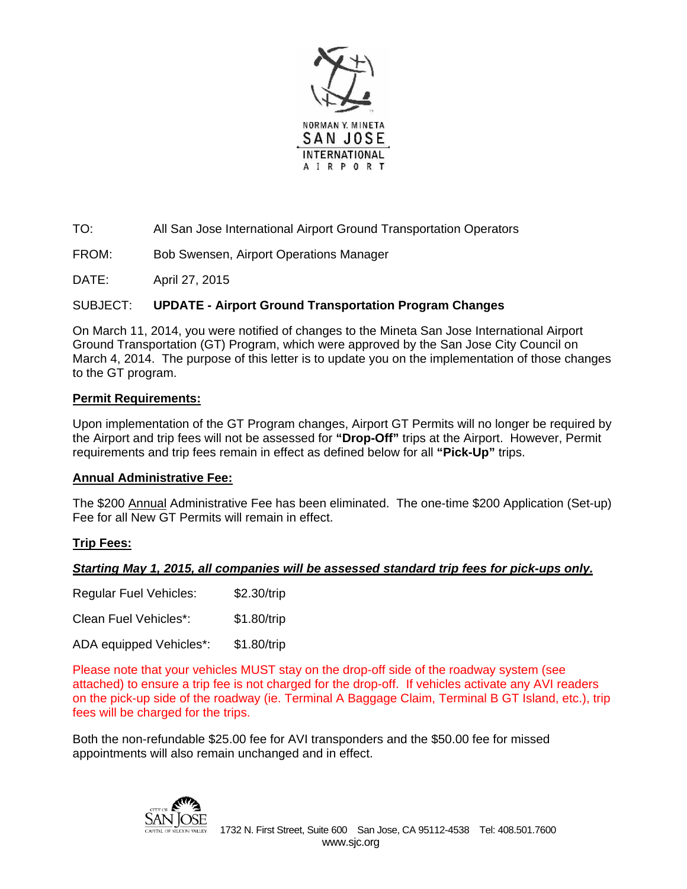

TO: All San Jose International Airport Ground Transportation Operators

FROM: Bob Swensen, Airport Operations Manager

DATE: April 27, 2015

### SUBJECT: **UPDATE - Airport Ground Transportation Program Changes**

On March 11, 2014, you were notified of changes to the Mineta San Jose International Airport Ground Transportation (GT) Program, which were approved by the San Jose City Council on March 4, 2014. The purpose of this letter is to update you on the implementation of those changes to the GT program.

#### **Permit Requirements:**

Upon implementation of the GT Program changes, Airport GT Permits will no longer be required by the Airport and trip fees will not be assessed for **"Drop-Off"** trips at the Airport. However, Permit requirements and trip fees remain in effect as defined below for all **"Pick-Up"** trips.

### **Annual Administrative Fee:**

The \$200 Annual Administrative Fee has been eliminated. The one-time \$200 Application (Set-up) Fee for all New GT Permits will remain in effect.

### **Trip Fees:**

### *Starting May 1, 2015, all companies will be assessed standard trip fees for pick-ups only.*

| <b>Regular Fuel Vehicles:</b> | \$2.30/trip |
|-------------------------------|-------------|
| Clean Fuel Vehicles*:         | \$1.80/trip |
| ADA equipped Vehicles*:       | \$1.80/trip |

Please note that your vehicles MUST stay on the drop-off side of the roadway system (see attached) to ensure a trip fee is not charged for the drop-off. If vehicles activate any AVI readers on the pick-up side of the roadway (ie. Terminal A Baggage Claim, Terminal B GT Island, etc.), trip fees will be charged for the trips.

Both the non-refundable \$25.00 fee for AVI transponders and the \$50.00 fee for missed appointments will also remain unchanged and in effect.